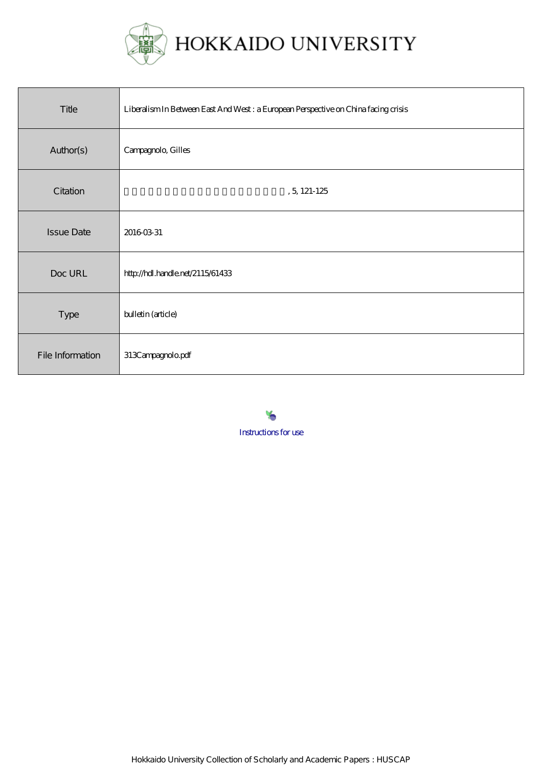

| Title             | Liberalism In Between East And West: a European Perspective on China facing crisis |
|-------------------|------------------------------------------------------------------------------------|
| Author(s)         | Campagnolo, Gilles                                                                 |
| Citation          | , 5, 121-125                                                                       |
| <b>Issue Date</b> | 20160331                                                                           |
| Doc URL           | http://hdl.handle.net/2115/61433                                                   |
| <b>Type</b>       | bulletin (article)                                                                 |
| File Information  | 313Campagnolo.pdf                                                                  |

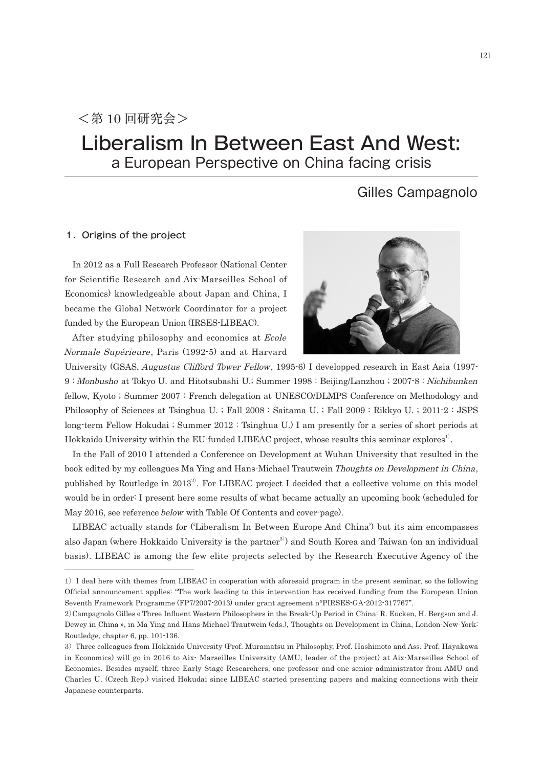# Liberalism In Between East And West: a European Perspective on China facing crisis

# Gilles Campagnolo

## 1. Origins of the project

In 2012 as a Full Research Professor (National Center for Scientific Research and Aix-Marseilles School of Economics) knowledgeable about Japan and China, I became the Global Network Coordinator for a project funded by the European Union (IRSES-LIBEAC).

After studying philosophy and economics at Ecole Normale Supérieure, Paris (1992-5) and at Harvard



University (GSAS, Augustus Clifford Tower Fellow, 1995-6) I developped research in East Asia (1997- 9 : Monbusho at Tokyo U. and Hitotsubashi U.; Summer 1998 : Beijing/Lanzhou ; 2007-8 : Nichibunken fellow, Kyoto ; Summer 2007 : French delegation at UNESCO/DLMPS Conference on Methodology and Philosophy of Sciences at Tsinghua U. ; Fall 2008 : Saitama U. ; Fall 2009 : Rikkyo U. ; 2011-2 : JSPS long-term Fellow Hokudai ; Summer 2012 : Tsinghua U.) I am presently for a series of short periods at Hokkaido University within the EU-funded LIBEAC project, whose results this seminar explores<sup>1</sup>.

In the Fall of 2010 I attended a Conference on Development at Wuhan University that resulted in the book edited by my colleagues Ma Ying and Hans-Michael Trautwein Thoughts on Development in China, published by Routledge in  $2013^2$ . For LIBEAC project I decided that a collective volume on this model would be in order: I present here some results of what became actually an upcoming book (scheduled for May 2016, see reference below with Table Of Contents and cover-page).

LIBEAC actually stands for ('Liberalism In Between Europe And China') but its aim encompasses also Japan (where Hokkaido University is the partner<sup>3)</sup> and South Korea and Taiwan (on an individual basis). LIBEAC is among the few elite projects selected by the Research Executive Agency of the

<sup>1</sup>)I deal here with themes from LIBEAC in cooperation with aforesaid program in the present seminar, so the following Official announcement applies: "The work leading to this intervention has received funding from the European Union Seventh Framework Programme (FP7/2007-2013) under grant agreement n°PIRSES-GA-2012-317767".

<sup>2</sup>)Campagnolo Gilles « Three Influent Western Philosophers in the Break-Up Period in China: R. Eucken, H. Bergson and J. Dewey in China », in Ma Ying and Hans-Michael Trautwein (eds.), Thoughts on Development in China, London-New-York: Routledge, chapter 6, pp. 101-136.

<sup>3</sup>)Three colleagues from Hokkaido University (Prof. Muramatsu in Philosophy, Prof. Hashimoto and Ass. Prof. Hayakawa in Economics) will go in 2016 to Aix- Marseilles University (AMU, leader of the project) at Aix-Marseilles School of Economics. Besides myself, three Early Stage Researchers, one professor and one senior administrator from AMU and Charles U. (Czech Rep.) visited Hokudai since LIBEAC started presenting papers and making connections with their Japanese counterparts.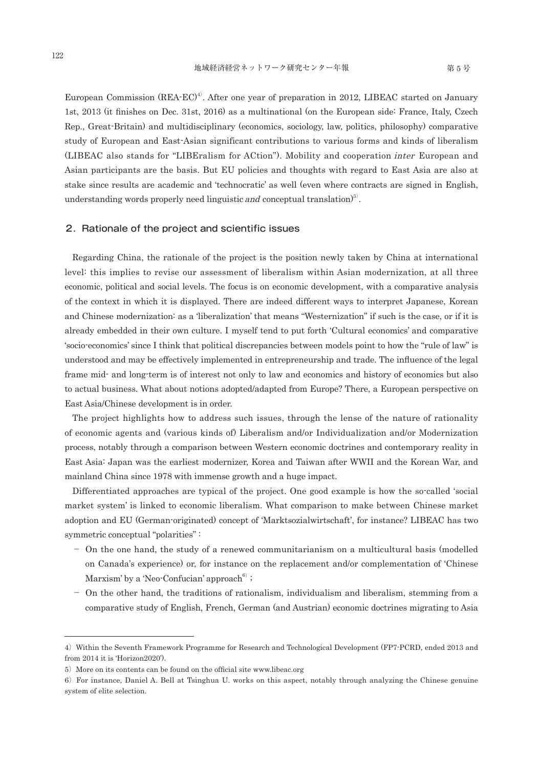European Commission (REA-EC)<sup>4</sup>. After one year of preparation in 2012, LIBEAC started on January 1st, 2013 (it finishes on Dec. 31st, 2016) as a multinational (on the European side: France, Italy, Czech Rep., Great-Britain) and multidisciplinary (economics, sociology, law, politics, philosophy) comparative study of European and East-Asian significant contributions to various forms and kinds of liberalism (LIBEAC also stands for "LIBEralism for ACtion"). Mobility and cooperation inter European and Asian participants are the basis. But EU policies and thoughts with regard to East Asia are also at stake since results are academic and 'technocratic' as well (even where contracts are signed in English, understanding words properly need linguistic and conceptual translation)<sup>5)</sup>.

### 2. Rationale of the project and scientific issues

Regarding China, the rationale of the project is the position newly taken by China at international level: this implies to revise our assessment of liberalism within Asian modernization, at all three economic, political and social levels. The focus is on economic development, with a comparative analysis of the context in which it is displayed. There are indeed different ways to interpret Japanese, Korean and Chinese modernization: as a 'liberalization' that means "Westernization" if such is the case, or if it is already embedded in their own culture. I myself tend to put forth 'Cultural economics' and comparative 'socio-economics' since I think that political discrepancies between models point to how the "rule of law" is understood and may be effectively implemented in entrepreneurship and trade. The influence of the legal frame mid- and long-term is of interest not only to law and economics and history of economics but also to actual business. What about notions adopted/adapted from Europe? There, a European perspective on East Asia/Chinese development is in order.

The project highlights how to address such issues, through the lense of the nature of rationality of economic agents and (various kinds of) Liberalism and/or Individualization and/or Modernization process, notably through a comparison between Western economic doctrines and contemporary reality in East Asia: Japan was the earliest modernizer, Korea and Taiwan after WWII and the Korean War, and mainland China since 1978 with immense growth and a huge impact.

Differentiated approaches are typical of the project. One good example is how the so-called 'social market system' is linked to economic liberalism. What comparison to make between Chinese market adoption and EU (German-originated) concept of 'Marktsozialwirtschaft', for instance? LIBEAC has two symmetric conceptual "polarities" :

- On the one hand, the study of a renewed communitarianism on a multicultural basis (modelled on Canada's experience) or, for instance on the replacement and/or complementation of 'Chinese Marxism' by a 'Neo-Confucian' approach $^{6)}$  ;
- On the other hand, the traditions of rationalism, individualism and liberalism, stemming from a comparative study of English, French, German (and Austrian) economic doctrines migrating to Asia

<sup>4)</sup> Within the Seventh Framework Programme for Research and Technological Development (FP7-PCRD, ended 2013 and from 2014 it is 'Horizon2020').

<sup>5)</sup> More on its contents can be found on the official site www.libeac.org

<sup>6</sup>)For instance, Daniel A. Bell at Tsinghua U. works on this aspect, notably through analyzing the Chinese genuine system of elite selection.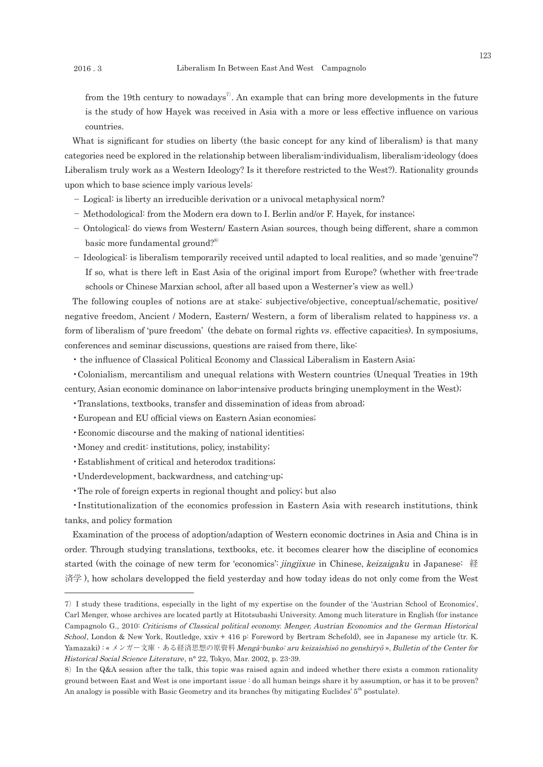from the 19th century to nowadays<sup>7</sup>. An example that can bring more developments in the future is the study of how Hayek was received in Asia with a more or less effective influence on various countries.

What is significant for studies on liberty (the basic concept for any kind of liberalism) is that many categories need be explored in the relationship between liberalism-individualism, liberalism-ideology (does Liberalism truly work as a Western Ideology? Is it therefore restricted to the West?). Rationality grounds upon which to base science imply various levels:

- Logical: is liberty an irreducible derivation or a univocal metaphysical norm?
- Methodological: from the Modern era down to I. Berlin and/or F. Hayek, for instance;
- Ontological: do views from Western/ Eastern Asian sources, though being different, share a common basic more fundamental ground?<sup>8)</sup>
- Ideological: is liberalism temporarily received until adapted to local realities, and so made 'genuine'? If so, what is there left in East Asia of the original import from Europe? (whether with free-trade schools or Chinese Marxian school, after all based upon a Westerner's view as well.)

The following couples of notions are at stake: subjective/objective, conceptual/schematic, positive/ negative freedom, Ancient / Modern, Eastern/ Western, a form of liberalism related to happiness vs. a form of liberalism of 'pure freedom' (the debate on formal rights vs. effective capacities). In symposiums, conferences and seminar discussions, questions are raised from there, like:

• the influence of Classical Political Economy and Classical Liberalism in Eastern Asia;

•Colonialism, mercantilism and unequal relations with Western countries (Unequal Treaties in 19th century, Asian economic dominance on labor-intensive products bringing unemployment in the West);

- •Translations, textbooks, transfer and dissemination of ideas from abroad;
- •European and EU official views on Eastern Asian economies;
- •Economic discourse and the making of national identities;
- •Money and credit: institutions, policy, instability;
- •Establishment of critical and heterodox traditions;
- •Underdevelopment, backwardness, and catching-up;
- •The role of foreign experts in regional thought and policy; but also

•Institutionalization of the economics profession in Eastern Asia with research institutions, think tanks, and policy formation

Examination of the process of adoption/adaption of Western economic doctrines in Asia and China is in order. Through studying translations, textbooks, etc. it becomes clearer how the discipline of economics started (with the coinage of new term for 'economics': jingjixue in Chinese, keizaigaku in Japanese: 経 済学 ), how scholars developped the field yesterday and how today ideas do not only come from the West

<sup>7</sup>)I study these traditions, especially in the light of my expertise on the founder of the 'Austrian School of Economics', Carl Menger, whose archives are located partly at Hitotsubashi University. Among much literature in English (for instance Campagnolo G., 2010: Criticisms of Classical political economy. Menger, Austrian Economics and the German Historical School, London & New York, Routledge, xxiv + 416 p: Foreword by Bertram Schefold), see in Japanese my article (tr. K. Yamazaki) : « メンガー文庫・ある経済思想の原資料Mengâ-bunko: aru keizaishisô no genshiryô », Bulletin of the Center for Historical Social Science Literature, n° 22, Tokyo, Mar. 2002, p. 23-39.

<sup>8)</sup> In the Q&A session after the talk, this topic was raised again and indeed whether there exists a common rationality ground between East and West is one important issue : do all human beings share it by assumption, or has it to be proven? An analogy is possible with Basic Geometry and its branches (by mitigating Euclides' 5<sup>th</sup> postulate).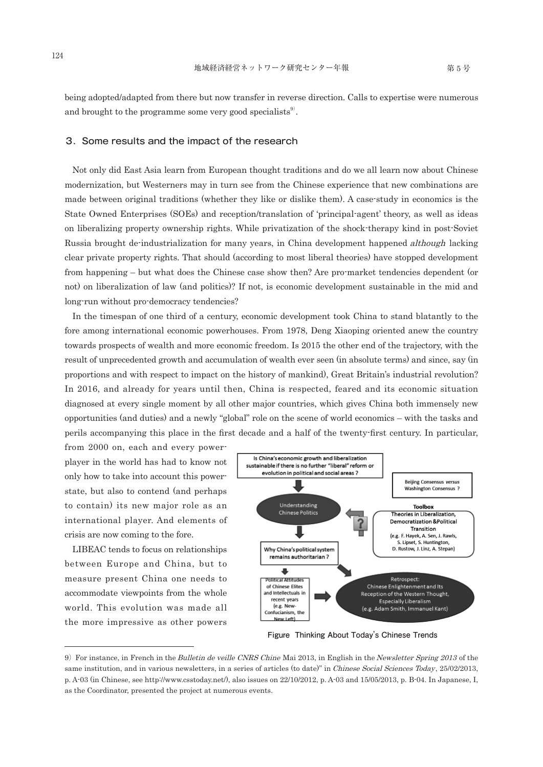being adopted/adapted from there but now transfer in reverse direction. Calls to expertise were numerous and brought to the programme some very good specialists $\mathbf{s}^9$ .

#### 3.Some results and the impact of the research

Not only did East Asia learn from European thought traditions and do we all learn now about Chinese modernization, but Westerners may in turn see from the Chinese experience that new combinations are made between original traditions (whether they like or dislike them). A case-study in economics is the State Owned Enterprises (SOEs) and reception/translation of 'principal-agent' theory, as well as ideas on liberalizing property ownership rights. While privatization of the shock-therapy kind in post-Soviet Russia brought de-industrialization for many years, in China development happened *although* lacking clear private property rights. That should (according to most liberal theories) have stopped development from happening – but what does the Chinese case show then? Are pro-market tendencies dependent (or not) on liberalization of law (and politics)? If not, is economic development sustainable in the mid and long-run without pro-democracy tendencies?

In the timespan of one third of a century, economic development took China to stand blatantly to the fore among international economic powerhouses. From 1978, Deng Xiaoping oriented anew the country towards prospects of wealth and more economic freedom. Is 2015 the other end of the trajectory, with the result of unprecedented growth and accumulation of wealth ever seen (in absolute terms) and since, say (in proportions and with respect to impact on the history of mankind), Great Britain's industrial revolution? In 2016, and already for years until then, China is respected, feared and its economic situation diagnosed at every single moment by all other major countries, which gives China both immensely new opportunities (and duties) and a newly "global" role on the scene of world economics – with the tasks and perils accompanying this place in the first decade and a half of the twenty-first century. In particular,

from 2000 on, each and every powerplayer in the world has had to know not only how to take into account this powerstate, but also to contend (and perhaps to contain) its new major role as an international player. And elements of crisis are now coming to the fore.

LIBEAC tends to focus on relationships between Europe and China, but to measure present China one needs to accommodate viewpoints from the whole world. This evolution was made all the more impressive as other powers



**Figure Thinking About Today's Chinese Trends**

<sup>9)</sup> For instance, in French in the Bulletin de veille CNRS Chine Mai 2013, in English in the Newsletter Spring 2013 of the same institution, and in various newsletters, in a series of articles (to date)" in Chinese Social Sciences Today, 25/02/2013, p. A-03 (in Chinese, see http://www.csstoday.net/), also issues on 22/10/2012, p. A-03 and 15/05/2013, p. B-04. In Japanese, I, as the Coordinator, presented the project at numerous events.